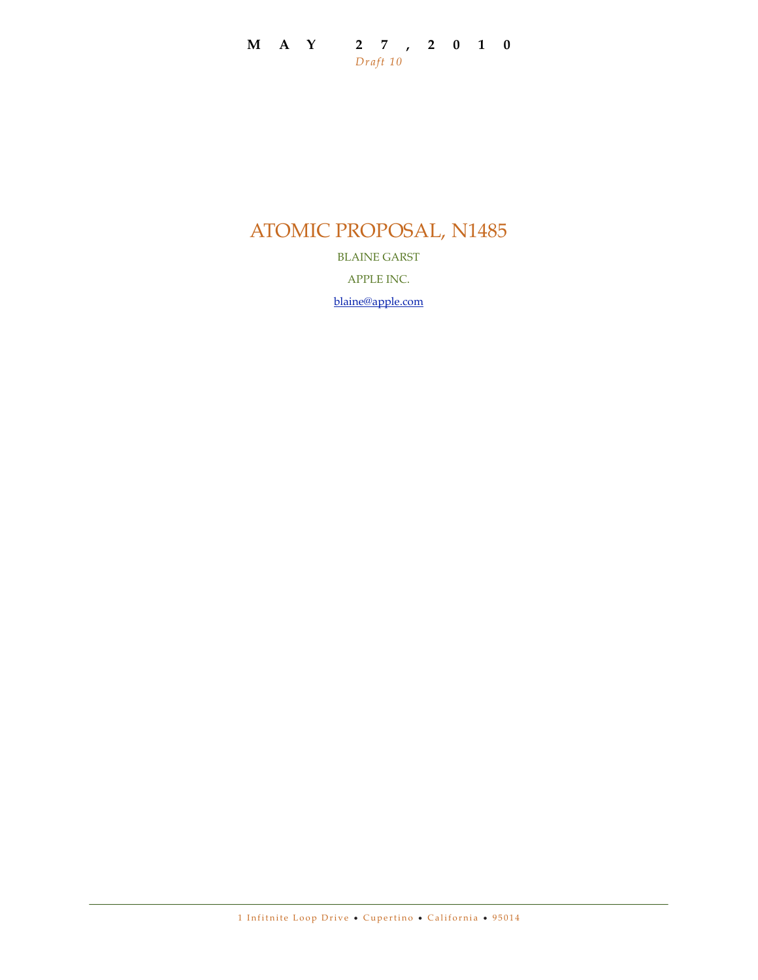### **MAY 27,2010** *Draft 10*

# ATOMIC PROPOSAL, N1485

BLAINE GARST

APPLE INC.

[blaine@apple.com](mailto:blaine@apple.com)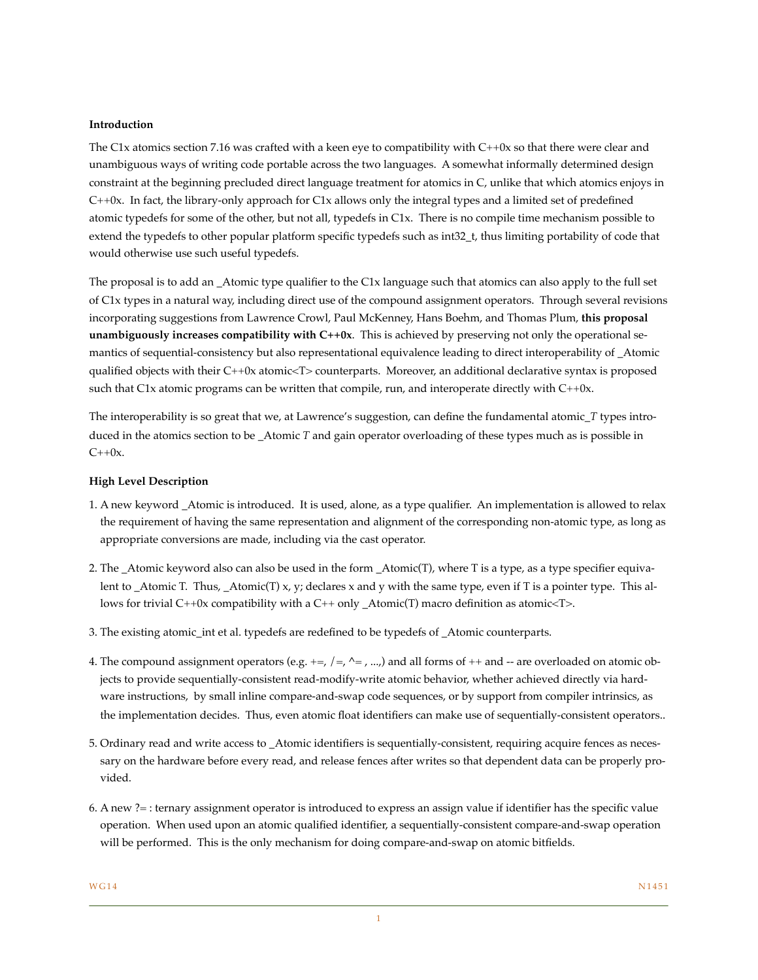#### **Introduction**

The C1x atomics section 7.16 was crafted with a keen eye to compatibility with C++0x so that there were clear and unambiguous ways of writing code portable across the two languages. A somewhat informally determined design constraint at the beginning precluded direct language treatment for atomics in C, unlike that which atomics enjoys in C++0x. In fact, the library-only approach for C1x allows only the integral types and a limited set of predefined atomic typedefs for some of the other, but not all, typedefs in C1x. There is no compile time mechanism possible to extend the typedefs to other popular platform specific typedefs such as int32\_t, thus limiting portability of code that would otherwise use such useful typedefs.

The proposal is to add an \_Atomic type qualifier to the C1x language such that atomics can also apply to the full set of C1x types in a natural way, including direct use of the compound assignment operators. Through several revisions incorporating suggestions from Lawrence Crowl, Paul McKenney, Hans Boehm, and Thomas Plum, **this proposal unambiguously increases compatibility with C++0x**. This is achieved by preserving not only the operational semantics of sequential-consistency but also representational equivalence leading to direct interoperability of \_Atomic qualified objects with their C++0x atomic<T> counterparts. Moreover, an additional declarative syntax is proposed such that C1x atomic programs can be written that compile, run, and interoperate directly with C++0x.

The interoperability is so great that we, at Lawrence's suggestion, can define the fundamental atomic\_*T* types introduced in the atomics section to be \_Atomic *T* and gain operator overloading of these types much as is possible in  $C++0x$ .

#### **High Level Description**

- 1. A new keyword \_Atomic is introduced. It is used, alone, as a type qualifier. An implementation is allowed to relax the requirement of having the same representation and alignment of the corresponding non-atomic type, as long as appropriate conversions are made, including via the cast operator.
- 2. The \_Atomic keyword also can also be used in the form \_Atomic(T), where T is a type, as a type specifier equivalent to Atomic T. Thus,  $\Delta$ tomic(T) x, y; declares x and y with the same type, even if T is a pointer type. This allows for trivial C++0x compatibility with a C++ only \_Atomic(T) macro definition as atomic<T>.
- 3. The existing atomic\_int et al. typedefs are redefined to be typedefs of \_Atomic counterparts.
- 4. The compound assignment operators (e.g.  $+=$ ,  $/=$ ,  $\sim$ , ...,) and all forms of ++ and -- are overloaded on atomic objects to provide sequentially-consistent read-modify-write atomic behavior, whether achieved directly via hardware instructions, by small inline compare-and-swap code sequences, or by support from compiler intrinsics, as the implementation decides. Thus, even atomic float identifiers can make use of sequentially-consistent operators..
- 5. Ordinary read and write access to \_Atomic identifiers is sequentially-consistent, requiring acquire fences as necessary on the hardware before every read, and release fences after writes so that dependent data can be properly provided.
- 6. A new ?= : ternary assignment operator is introduced to express an assign value if identifier has the specific value operation. When used upon an atomic qualified identifier, a sequentially-consistent compare-and-swap operation will be performed. This is the only mechanism for doing compare-and-swap on atomic bitfields.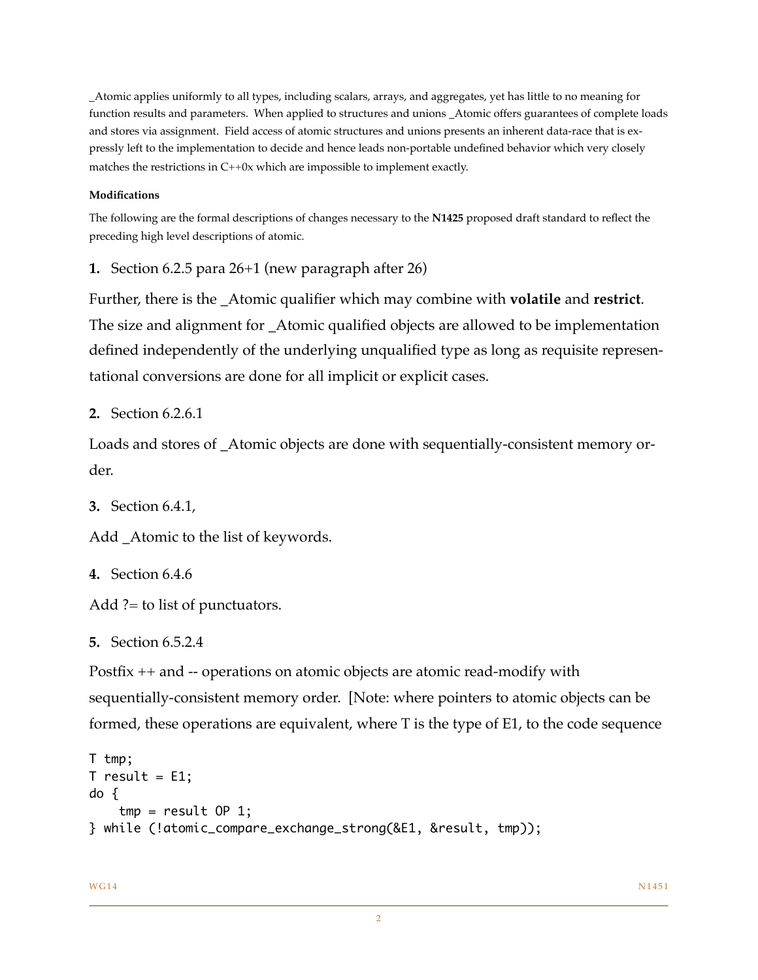\_Atomic applies uniformly to all types, including scalars, arrays, and aggregates, yet has little to no meaning for function results and parameters. When applied to structures and unions \_Atomic offers guarantees of complete loads and stores via assignment. Field access of atomic structures and unions presents an inherent data-race that is expressly left to the implementation to decide and hence leads non-portable undefined behavior which very closely matches the restrictions in C++0x which are impossible to implement exactly.

#### **Modifications**

The following are the formal descriptions of changes necessary to the **N1425** proposed draft standard to reflect the preceding high level descriptions of atomic.

**1.** Section 6.2.5 para 26+1 (new paragraph after 26)

Further, there is the \_Atomic qualifier which may combine with **volatile** and **restrict**. The size and alignment for \_Atomic qualified objects are allowed to be implementation defined independently of the underlying unqualified type as long as requisite representational conversions are done for all implicit or explicit cases.

**2.** Section 6.2.6.1

Loads and stores of \_Atomic objects are done with sequentially-consistent memory order.

**3.** Section 6.4.1,

Add \_Atomic to the list of keywords.

**4.** Section 6.4.6

Add ?= to list of punctuators.

**5.** Section 6.5.2.4

Postfix ++ and -- operations on atomic objects are atomic read-modify with sequentially-consistent memory order. [Note: where pointers to atomic objects can be formed, these operations are equivalent, where T is the type of E1, to the code sequence

```
T tmp;
T result = E1;
do {
    tmp = result OP 1;} while (!atomic_compare_exchange_strong(&E1, &result, tmp));
```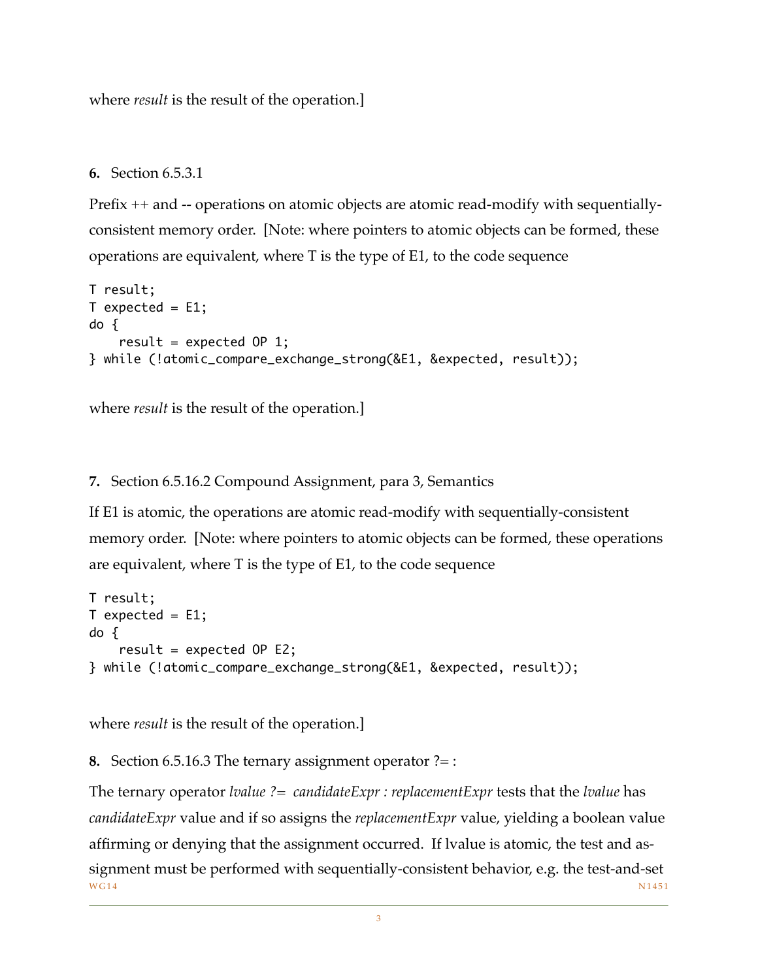where *result* is the result of the operation.]

## **6.** Section 6.5.3.1

Prefix ++ and -- operations on atomic objects are atomic read-modify with sequentiallyconsistent memory order. [Note: where pointers to atomic objects can be formed, these operations are equivalent, where T is the type of E1, to the code sequence

```
T result;
T expected = E1;
do {
    result = expected OP 1;
} while (!atomic_compare_exchange_strong(&E1, &expected, result));
```
where *result* is the result of the operation.]

# **7.** Section 6.5.16.2 Compound Assignment, para 3, Semantics

If E1 is atomic, the operations are atomic read-modify with sequentially-consistent memory order. [Note: where pointers to atomic objects can be formed, these operations are equivalent, where T is the type of E1, to the code sequence

```
T result;
T expected = E1;
do {
    result = expected OP E2;
} while (!atomic_compare_exchange_strong(&E1, &expected, result));
```
where *result* is the result of the operation.]

**8.** Section 6.5.16.3 The ternary assignment operator ?= :

The ternary operator *lvalue ?= candidateExpr : replacementExpr* tests that the *lvalue* has *candidateExpr* value and if so assigns the *replacementExpr* value, yielding a boolean value affirming or denying that the assignment occurred. If lvalue is atomic, the test and assignment must be performed with sequentially-consistent behavior, e.g. the test-and-set  $WG14$   $N1451$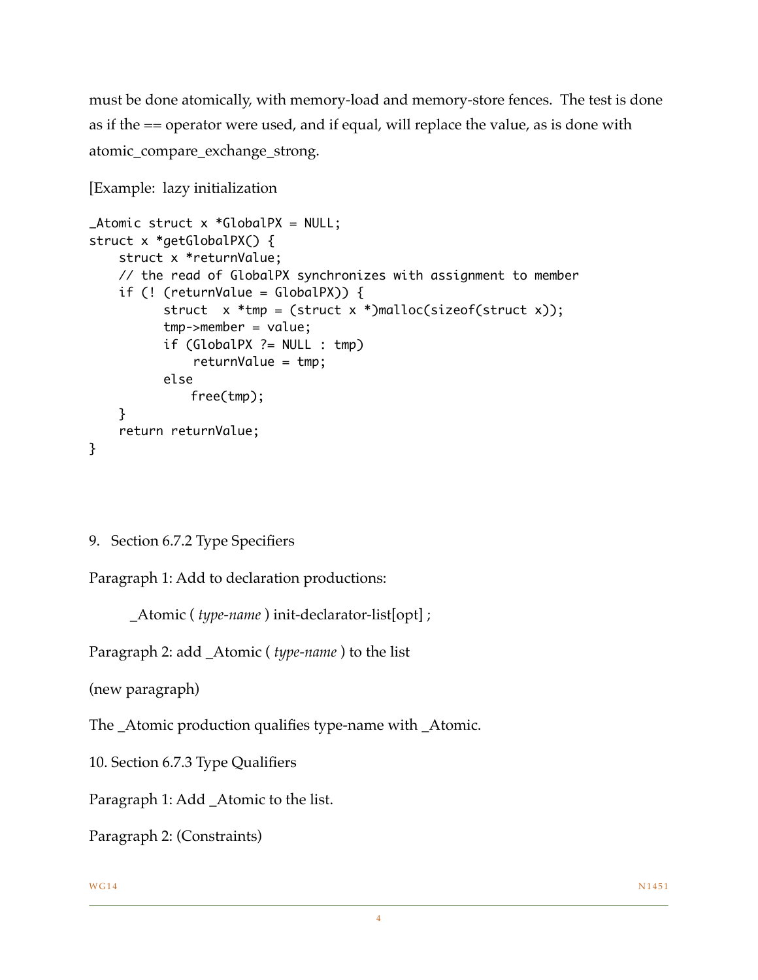must be done atomically, with memory-load and memory-store fences. The test is done as if the == operator were used, and if equal, will replace the value, as is done with atomic\_compare\_exchange\_strong.

```
[Example: lazy initialization
```

```
\Delta tomic struct x *GlobalPX = NULL;
struct x *getGlobalPX() {
     struct x *returnValue;
     // the read of GlobalPX synchronizes with assignment to member
    if (! (returnValue = GlobalPX) {
          struct x *tmp = (struct x * ){m}alloc(sizeof(struct x));
           tmp->member = value;
           if (GlobalPX ?= NULL : tmp)
               returnValue = tmp;
           else
               free(tmp);
     }
     return returnValue;
}
```

```
9. Section 6.7.2 Type Specifiers
```
Paragraph 1: Add to declaration productions:

```
 _Atomic ( type-name ) init-declarator-list[opt] ;
```
Paragraph 2: add \_Atomic ( *type-name* ) to the list

(new paragraph)

The \_Atomic production qualifies type-name with \_Atomic.

10. Section 6.7.3 Type Qualifiers

Paragraph 1: Add \_Atomic to the list.

Paragraph 2: (Constraints)

## $WG14$   $N1451$